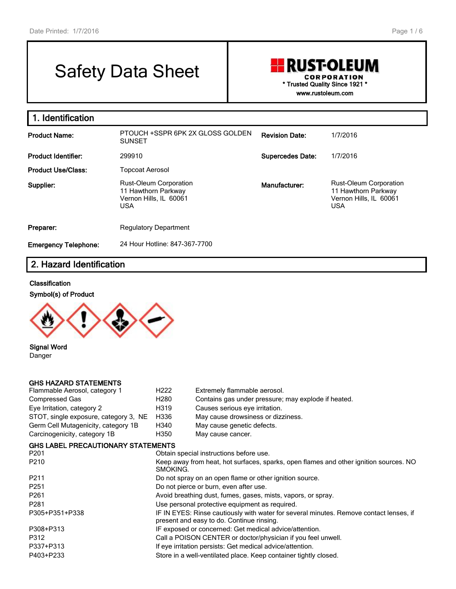# Safety Data Sheet

#### **RUST-OLEUM CORPORATION \* Trusted Quality Since 1921 \* www.rustoleum.com**

**1. Identification Product Name:** PTOUCH +SSPR 6PK 2X GLOSS GOLDEN SUNSET **Revision Date:** 1/7/2016 **Product Identifier:** 299910 **Supercedes Date:** 1/7/2016 **Product Use/Class:** Topcoat Aerosol **Supplier:** Rust-Oleum Corporation 11 Hawthorn Parkway Vernon Hills, IL 60061 USA **Manufacturer:** Rust-Oleum Corporation 11 Hawthorn Parkway Vernon Hills, IL 60061 USA **Preparer:** Regulatory Department **Emergency Telephone:** 24 Hour Hotline: 847-367-7700

## **2. Hazard Identification**

#### **Classification**





**Signal Word** Danger

#### **GHS HAZARD STATEMENTS**

| Flammable Aerosol, category 1             | H <sub>222</sub>                                                                       | Extremely flammable aerosol.                                 |  |  |  |  |
|-------------------------------------------|----------------------------------------------------------------------------------------|--------------------------------------------------------------|--|--|--|--|
| Compressed Gas                            | H <sub>280</sub>                                                                       | Contains gas under pressure; may explode if heated.          |  |  |  |  |
| Eye Irritation, category 2                | H319                                                                                   | Causes serious eye irritation.                               |  |  |  |  |
| STOT, single exposure, category 3, NE     | H336                                                                                   | May cause drowsiness or dizziness.                           |  |  |  |  |
| Germ Cell Mutagenicity, category 1B       | H340                                                                                   | May cause genetic defects.                                   |  |  |  |  |
| Carcinogenicity, category 1B              | H350                                                                                   | May cause cancer.                                            |  |  |  |  |
| <b>GHS LABEL PRECAUTIONARY STATEMENTS</b> |                                                                                        |                                                              |  |  |  |  |
| P201                                      |                                                                                        | Obtain special instructions before use.                      |  |  |  |  |
| P210                                      | Keep away from heat, hot surfaces, sparks, open flames and other ignition sources. NO  |                                                              |  |  |  |  |
|                                           | SMOKING.                                                                               |                                                              |  |  |  |  |
| P211                                      |                                                                                        | Do not spray on an open flame or other ignition source.      |  |  |  |  |
| P251                                      |                                                                                        | Do not pierce or burn, even after use.                       |  |  |  |  |
| P261                                      |                                                                                        | Avoid breathing dust, fumes, gases, mists, vapors, or spray. |  |  |  |  |
| P281                                      |                                                                                        | Use personal protective equipment as required.               |  |  |  |  |
| P305+P351+P338                            | IF IN EYES: Rinse cautiously with water for several minutes. Remove contact lenses, if |                                                              |  |  |  |  |
|                                           |                                                                                        | present and easy to do. Continue rinsing.                    |  |  |  |  |
| P308+P313                                 | IF exposed or concerned: Get medical advice/attention.                                 |                                                              |  |  |  |  |
| P312                                      |                                                                                        | Call a POISON CENTER or doctor/physician if you feel unwell. |  |  |  |  |
| P337+P313                                 | If eye irritation persists: Get medical advice/attention.                              |                                                              |  |  |  |  |
| P403+P233                                 | Store in a well-ventilated place. Keep container tightly closed.                       |                                                              |  |  |  |  |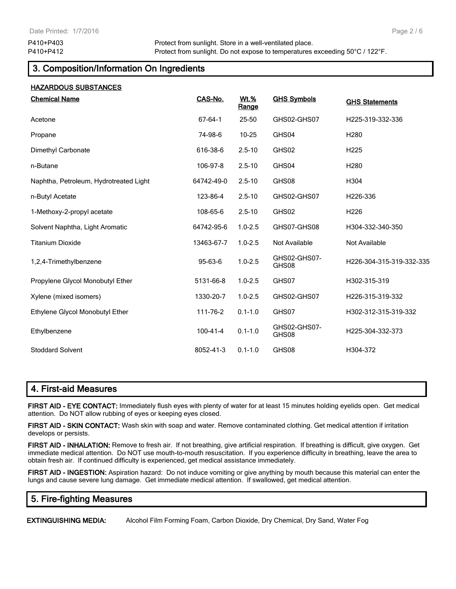# **3. Composition/Information On Ingredients**

| <b>HAZARDOUS SUBSTANCES</b>            |                |                             |                       |                          |
|----------------------------------------|----------------|-----------------------------|-----------------------|--------------------------|
| <b>Chemical Name</b>                   | CAS-No.        | <b>Wt.%</b><br><u>Range</u> | <b>GHS Symbols</b>    | <b>GHS Statements</b>    |
| Acetone                                | 67-64-1        | 25-50                       | GHS02-GHS07           | H225-319-332-336         |
| Propane                                | 74-98-6        | $10 - 25$                   | GHS04                 | H <sub>280</sub>         |
| Dimethyl Carbonate                     | 616-38-6       | $2.5 - 10$                  | GHS02                 | H225                     |
| n-Butane                               | 106-97-8       | $2.5 - 10$                  | GHS04                 | H <sub>280</sub>         |
| Naphtha, Petroleum, Hydrotreated Light | 64742-49-0     | $2.5 - 10$                  | GHS08                 | H304                     |
| n-Butyl Acetate                        | 123-86-4       | $2.5 - 10$                  | GHS02-GHS07           | H226-336                 |
| 1-Methoxy-2-propyl acetate             | 108-65-6       | $2.5 - 10$                  | GHS02                 | H226                     |
| Solvent Naphtha, Light Aromatic        | 64742-95-6     | $1.0 - 2.5$                 | GHS07-GHS08           | H304-332-340-350         |
| <b>Titanium Dioxide</b>                | 13463-67-7     | $1.0 - 2.5$                 | Not Available         | <b>Not Available</b>     |
| 1,2,4-Trimethylbenzene                 | 95-63-6        | $1.0 - 2.5$                 | GHS02-GHS07-<br>GHS08 | H226-304-315-319-332-335 |
| Propylene Glycol Monobutyl Ether       | 5131-66-8      | $1.0 - 2.5$                 | GHS07                 | H302-315-319             |
| Xylene (mixed isomers)                 | 1330-20-7      | $1.0 - 2.5$                 | GHS02-GHS07           | H226-315-319-332         |
| Ethylene Glycol Monobutyl Ether        | 111-76-2       | $0.1 - 1.0$                 | GHS07                 | H302-312-315-319-332     |
| Ethylbenzene                           | $100 - 41 - 4$ | $0.1 - 1.0$                 | GHS02-GHS07-<br>GHS08 | H225-304-332-373         |
| <b>Stoddard Solvent</b>                | 8052-41-3      | $0.1 - 1.0$                 | GHS08                 | H304-372                 |

## **4. First-aid Measures**

**FIRST AID - EYE CONTACT:** Immediately flush eyes with plenty of water for at least 15 minutes holding eyelids open. Get medical attention. Do NOT allow rubbing of eyes or keeping eyes closed.

**FIRST AID - SKIN CONTACT:** Wash skin with soap and water. Remove contaminated clothing. Get medical attention if irritation develops or persists.

**FIRST AID - INHALATION:** Remove to fresh air. If not breathing, give artificial respiration. If breathing is difficult, give oxygen. Get immediate medical attention. Do NOT use mouth-to-mouth resuscitation. If you experience difficulty in breathing, leave the area to obtain fresh air. If continued difficulty is experienced, get medical assistance immediately.

**FIRST AID - INGESTION:** Aspiration hazard: Do not induce vomiting or give anything by mouth because this material can enter the lungs and cause severe lung damage. Get immediate medical attention. If swallowed, get medical attention.

## **5. Fire-fighting Measures**

**EXTINGUISHING MEDIA:** Alcohol Film Forming Foam, Carbon Dioxide, Dry Chemical, Dry Sand, Water Fog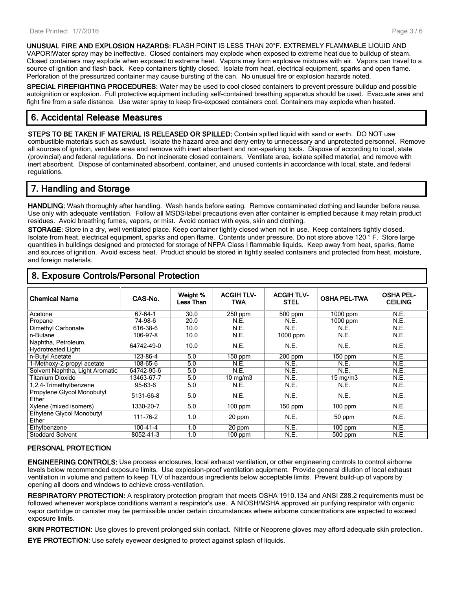**UNUSUAL FIRE AND EXPLOSION HAZARDS:** FLASH POINT IS LESS THAN 20°F. EXTREMELY FLAMMABLE LIQUID AND VAPOR!Water spray may be ineffective. Closed containers may explode when exposed to extreme heat due to buildup of steam. Closed containers may explode when exposed to extreme heat. Vapors may form explosive mixtures with air. Vapors can travel to a source of ignition and flash back. Keep containers tightly closed. Isolate from heat, electrical equipment, sparks and open flame. Perforation of the pressurized container may cause bursting of the can. No unusual fire or explosion hazards noted.

**SPECIAL FIREFIGHTING PROCEDURES:** Water may be used to cool closed containers to prevent pressure buildup and possible autoignition or explosion. Full protective equipment including self-contained breathing apparatus should be used. Evacuate area and fight fire from a safe distance. Use water spray to keep fire-exposed containers cool. Containers may explode when heated.

## **6. Accidental Release Measures**

**STEPS TO BE TAKEN IF MATERIAL IS RELEASED OR SPILLED:** Contain spilled liquid with sand or earth. DO NOT use combustible materials such as sawdust. Isolate the hazard area and deny entry to unnecessary and unprotected personnel. Remove all sources of ignition, ventilate area and remove with inert absorbent and non-sparking tools. Dispose of according to local, state (provincial) and federal regulations. Do not incinerate closed containers. Ventilate area, isolate spilled material, and remove with inert absorbent. Dispose of contaminated absorbent, container, and unused contents in accordance with local, state, and federal regulations.

# **7. Handling and Storage**

**HANDLING:** Wash thoroughly after handling. Wash hands before eating. Remove contaminated clothing and launder before reuse. Use only with adequate ventilation. Follow all MSDS/label precautions even after container is emptied because it may retain product residues. Avoid breathing fumes, vapors, or mist. Avoid contact with eyes, skin and clothing.

**STORAGE:** Store in a dry, well ventilated place. Keep container tightly closed when not in use. Keep containers tightly closed. Isolate from heat, electrical equipment, sparks and open flame. Contents under pressure. Do not store above 120 ° F. Store large quantities in buildings designed and protected for storage of NFPA Class I flammable liquids. Keep away from heat, sparks, flame and sources of ignition. Avoid excess heat. Product should be stored in tightly sealed containers and protected from heat, moisture, and foreign materials.

| <b>Chemical Name</b>                | CAS-No.        | Weight %<br>Less Than | <b>ACGIHTLV-</b><br>TWA | <b>ACGIH TLV-</b><br><b>STEL</b> | <b>OSHA PEL-TWA</b> | <b>OSHA PEL-</b><br><b>CEILING</b> |
|-------------------------------------|----------------|-----------------------|-------------------------|----------------------------------|---------------------|------------------------------------|
|                                     |                |                       |                         |                                  |                     |                                    |
| Acetone                             | 67-64-1        | 30.0                  | $250$ ppm               | 500 ppm                          | 1000 ppm            | N.E.                               |
| Propane                             | 74-98-6        | 20.0                  | N.E.                    | N.E.                             | 1000 ppm            | N.E.                               |
| Dimethyl Carbonate                  | 616-38-6       | 10.0                  | N.E.                    | N.E.                             | N.E.                | N.E.                               |
| n-Butane                            | 106-97-8       | 10.0                  | N.E.                    | $1000$ ppm                       | N.E.                | N.E.                               |
| Naphtha, Petroleum,                 | 64742-49-0     | 10.0                  | N.E.                    | N.E.                             | N.E.                | N.E.                               |
| <b>Hydrotreated Light</b>           |                |                       |                         |                                  |                     |                                    |
| n-Butyl Acetate                     | 123-86-4       | 5.0                   | $150$ ppm               | $200$ ppm                        | $150$ ppm           | N.E.                               |
| 1-Methoxy-2-propyl acetate          | 108-65-6       | 5.0                   | N.E.                    | N.E.                             | N.E.                | N.E.                               |
| Solvent Naphtha, Light Aromatic     | 64742-95-6     | 5.0                   | N.E.                    | N.E.                             | N.E.                | N.E.                               |
| Titanium Dioxide                    | 13463-67-7     | 5.0                   | 10 mg/m $3$             | N.E.                             | $15 \text{ mg/m}$   | N.E.                               |
| 1,2,4-Trimethylbenzene              | 95-63-6        | 5.0                   | N.E.                    | N.E.                             | N.E.                | N.E.                               |
| Propylene Glycol Monobutyl<br>Ether | 5131-66-8      | 5.0                   | N.E.                    | N.E.                             | N.E.                | N.E.                               |
| Xylene (mixed isomers)              | 1330-20-7      | 5.0                   | $100$ ppm               | 150 ppm                          | $100$ ppm           | N.E.                               |
| Ethylene Glycol Monobutyl           | 111-76-2       | 1.0                   | 20 ppm                  | N.E.                             | 50 ppm              | N.E.                               |
| Ether                               |                |                       |                         |                                  |                     |                                    |
| Ethylbenzene                        | $100 - 41 - 4$ | 1.0                   | 20 ppm                  | N.E.                             | $100$ ppm           | N.E.                               |
| <b>Stoddard Solvent</b>             | 8052-41-3      | 1.0                   | $100$ ppm               | N.E.                             | 500 ppm             | N.E.                               |

# **8. Exposure Controls/Personal Protection**

#### **PERSONAL PROTECTION**

**ENGINEERING CONTROLS:** Use process enclosures, local exhaust ventilation, or other engineering controls to control airborne levels below recommended exposure limits. Use explosion-proof ventilation equipment. Provide general dilution of local exhaust ventilation in volume and pattern to keep TLV of hazardous ingredients below acceptable limits. Prevent build-up of vapors by opening all doors and windows to achieve cross-ventilation.

**RESPIRATORY PROTECTION:** A respiratory protection program that meets OSHA 1910.134 and ANSI Z88.2 requirements must be followed whenever workplace conditions warrant a respirator's use. A NIOSH/MSHA approved air purifying respirator with organic vapor cartridge or canister may be permissible under certain circumstances where airborne concentrations are expected to exceed exposure limits.

**SKIN PROTECTION:** Use gloves to prevent prolonged skin contact. Nitrile or Neoprene gloves may afford adequate skin protection.

**EYE PROTECTION:** Use safety eyewear designed to protect against splash of liquids.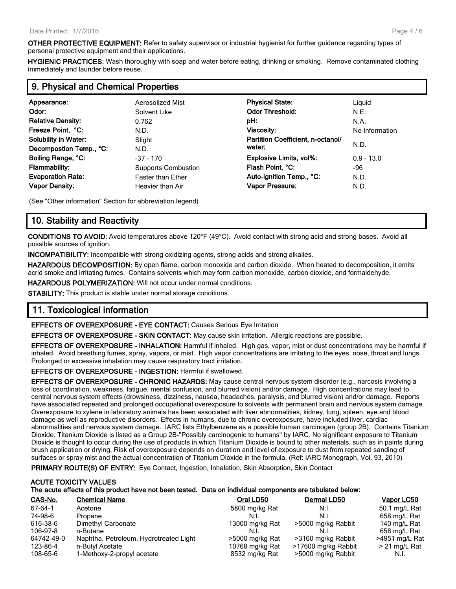**OTHER PROTECTIVE EQUIPMENT:** Refer to safety supervisor or industrial hygienist for further guidance regarding types of personal protective equipment and their applications.

**HYGIENIC PRACTICES:** Wash thoroughly with soap and water before eating, drinking or smoking. Remove contaminated clothing immediately and launder before reuse.

| 9. Physical and Chemical Properties |                            |                                   |                |  |  |
|-------------------------------------|----------------------------|-----------------------------------|----------------|--|--|
| Appearance:                         | <b>Aerosolized Mist</b>    | <b>Physical State:</b>            | Liguid         |  |  |
| Odor:                               | Solvent Like               | <b>Odor Threshold:</b>            | N.E.           |  |  |
| <b>Relative Density:</b>            | 0.762                      | pH:                               | N.A.           |  |  |
| Freeze Point, °C:                   | N.D.                       | Viscosity:                        | No Information |  |  |
| <b>Solubility in Water:</b>         | Slight                     | Partition Coefficient, n-octanol/ |                |  |  |
| Decompostion Temp., °C:             | N.D.                       | water:                            | N.D.           |  |  |
| Boiling Range, °C:                  | $-37 - 170$                | <b>Explosive Limits, vol%:</b>    | $0.9 - 13.0$   |  |  |
| <b>Flammability:</b>                | <b>Supports Combustion</b> | Flash Point, °C:                  | -96            |  |  |
| <b>Evaporation Rate:</b>            | <b>Faster than Ether</b>   | Auto-ignition Temp., °C:          | N.D.           |  |  |
| <b>Vapor Density:</b>               | Heavier than Air           | Vapor Pressure:                   | N.D.           |  |  |

(See "Other information" Section for abbreviation legend)

#### **10. Stability and Reactivity**

**CONDITIONS TO AVOID:** Avoid temperatures above 120°F (49°C). Avoid contact with strong acid and strong bases. Avoid all possible sources of ignition.

**INCOMPATIBILITY:** Incompatible with strong oxidizing agents, strong acids and strong alkalies.

**HAZARDOUS DECOMPOSITION:** By open flame, carbon monoxide and carbon dioxide. When heated to decomposition, it emits acrid smoke and irritating fumes. Contains solvents which may form carbon monoxide, carbon dioxide, and formaldehyde.

**HAZARDOUS POLYMERIZATION:** Will not occur under normal conditions.

**STABILITY:** This product is stable under normal storage conditions.

## **11. Toxicological information**

**EFFECTS OF OVEREXPOSURE - EYE CONTACT:** Causes Serious Eye Irritation

**EFFECTS OF OVEREXPOSURE - SKIN CONTACT:** May cause skin irritation. Allergic reactions are possible.

**EFFECTS OF OVEREXPOSURE - INHALATION:** Harmful if inhaled. High gas, vapor, mist or dust concentrations may be harmful if inhaled. Avoid breathing fumes, spray, vapors, or mist. High vapor concentrations are irritating to the eyes, nose, throat and lungs. Prolonged or excessive inhalation may cause respiratory tract irritation.

**EFFECTS OF OVEREXPOSURE - INGESTION:** Harmful if swallowed.

**EFFECTS OF OVEREXPOSURE - CHRONIC HAZARDS:** May cause central nervous system disorder (e.g., narcosis involving a loss of coordination, weakness, fatigue, mental confusion, and blurred vision) and/or damage. High concentrations may lead to central nervous system effects (drowsiness, dizziness, nausea, headaches, paralysis, and blurred vision) and/or damage. Reports have associated repeated and prolonged occupational overexposure to solvents with permanent brain and nervous system damage. Overexposure to xylene in laboratory animals has been associated with liver abnormalities, kidney, lung, spleen, eye and blood damage as well as reproductive disorders. Effects in humans, due to chronic overexposure, have included liver, cardiac abnormalities and nervous system damage. IARC lists Ethylbenzene as a possible human carcinogen (group 2B). Contains Titanium Dioxide. Titanium Dioxide is listed as a Group 2B-"Possibly carcinogenic to humans" by IARC. No significant exposure to Titanium Dioxide is thought to occur during the use of products in which Titanium Dioxide is bound to other materials, such as in paints during brush application or drying. Risk of overexposure depends on duration and level of exposure to dust from repeated sanding of surfaces or spray mist and the actual concentration of Titanium Dioxide in the formula. (Ref: IARC Monograph, Vol. 93, 2010)

**PRIMARY ROUTE(S) OF ENTRY:** Eye Contact, Ingestion, Inhalation, Skin Absorption, Skin Contact

#### **ACUTE TOXICITY VALUES The acute effects of this product have not been tested. Data on individual components are tabulated below:**

| CAS-No.    | <b>Chemical Name</b>                   | Oral LD50       | Dermal LD50         | <b>Vapor LC50</b> |
|------------|----------------------------------------|-----------------|---------------------|-------------------|
| 67-64-1    | Acetone                                | 5800 mg/kg Rat  | N.I.                | 50.1 mg/L Rat     |
| 74-98-6    | Propane                                | N.I.            | N.I.                | 658 mg/L Rat      |
| 616-38-6   | Dimethyl Carbonate                     | 13000 mg/kg Rat | >5000 mg/kg Rabbit  | 140 mg/L Rat      |
| 106-97-8   | n-Butane                               | N.I.            |                     | 658 mg/L Rat      |
| 64742-49-0 | Naphtha, Petroleum, Hydrotreated Light | >5000 mg/kg Rat | >3160 mg/kg Rabbit  | >4951 mg/L Rat    |
| 123-86-4   | n-Butyl Acetate                        | 10768 mg/kg Rat | >17600 mg/kg Rabbit | $>$ 21 mg/L Rat   |
| 108-65-6   | 1-Methoxy-2-propyl acetate             | 8532 mg/kg Rat  | >5000 mg/kg Rabbit  | N.I.              |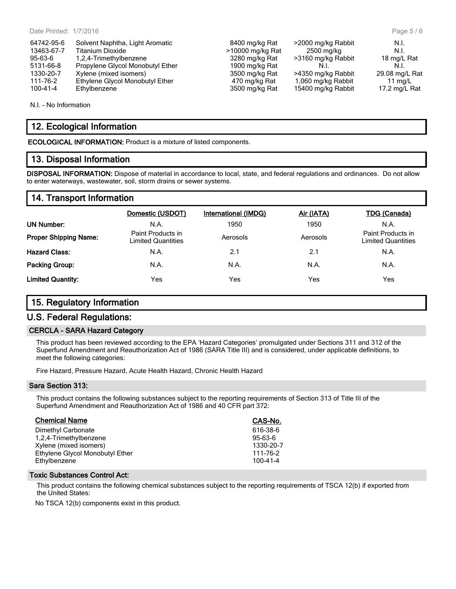| 64742-95-6     | Solvent Naphtha, Light Aromatic  |
|----------------|----------------------------------|
| 13463-67-7     | <b>Titanium Dioxide</b>          |
| $95 - 63 - 6$  | 1,2,4-Trimethylbenzene           |
| 5131-66-8      | Propylene Glycol Monobutyl Ether |
| 1330-20-7      | Xylene (mixed isomers)           |
| 111-76-2       | Ethylene Glycol Monobutyl Ether  |
| $100 - 41 - 4$ | Ethylbenzene                     |
|                |                                  |

N.I. - No Information

## **12. Ecological Information**

**ECOLOGICAL INFORMATION:** Product is a mixture of listed components.

#### **13. Disposal Information**

**DISPOSAL INFORMATION:** Dispose of material in accordance to local, state, and federal regulations and ordinances. Do not allow to enter waterways, wastewater, soil, storm drains or sewer systems.

3500 mg/kg Rat >4350 mg/kg Rabbit

15400 mg/kg Rabbit

#### **14. Transport Information**

|                              | Domestic (USDOT)                        | International (IMDG) | Air (IATA) | <b>TDG (Canada)</b>                            |
|------------------------------|-----------------------------------------|----------------------|------------|------------------------------------------------|
| UN Number:                   | N.A.                                    | 1950                 | 1950       | N.A.                                           |
| <b>Proper Shipping Name:</b> | Paint Products in<br>Limited Quantities | Aerosols             | Aerosols   | Paint Products in<br><b>Limited Quantities</b> |
| <b>Hazard Class:</b>         | N.A.                                    | 2.1                  | 2.1        | N.A.                                           |
| <b>Packing Group:</b>        | N.A.                                    | N.A.                 | N.A.       | N.A.                                           |
| <b>Limited Quantity:</b>     | Yes                                     | Yes                  | Yes        | Yes                                            |

#### **15. Regulatory Information**

#### **U.S. Federal Regulations:**

#### **CERCLA - SARA Hazard Category**

This product has been reviewed according to the EPA 'Hazard Categories' promulgated under Sections 311 and 312 of the Superfund Amendment and Reauthorization Act of 1986 (SARA Title III) and is considered, under applicable definitions, to meet the following categories:

Fire Hazard, Pressure Hazard, Acute Health Hazard, Chronic Health Hazard

#### **Sara Section 313:**

This product contains the following substances subject to the reporting requirements of Section 313 of Title III of the Superfund Amendment and Reauthorization Act of 1986 and 40 CFR part 372:

| <b>Chemical Name</b>            | CAS-No.       |
|---------------------------------|---------------|
| Dimethyl Carbonate              | 616-38-6      |
| 1,2,4-Trimethylbenzene          | $95 - 63 - 6$ |
| Xylene (mixed isomers)          | 1330-20-7     |
| Ethylene Glycol Monobutyl Ether | 111-76-2      |
| Ethylbenzene                    | 100-41-4      |

#### **Toxic Substances Control Act:**

This product contains the following chemical substances subject to the reporting requirements of TSCA 12(b) if exported from the United States:

No TSCA 12(b) components exist in this product.

8400 mg/kg Rat >2000 mg/kg Rabbit N.I.  $1310000$  mg/kg Rat 2500 mg/kg  $\sim$  N.I. 95-3180 mg/kg Rat  $\geq$ 3160 mg/kg Rabbit 18 mg/L Rat 1900 mg/kg Rat  $\sim$  N.I. 1900 mg/kg Rat N.I. N.I. N.I.<br>3500 mg/kg Rat 29.08 mg/L Rat 1900 mg/kg Rabbit 29.08 mg/L Rat 11 mg/kg Rat 1,060 mg/kg Rabbit 11 mg/L<br>17.2 mg/kg Rat 15400 mg/kg Rabbit 17.2 mg/L Rat